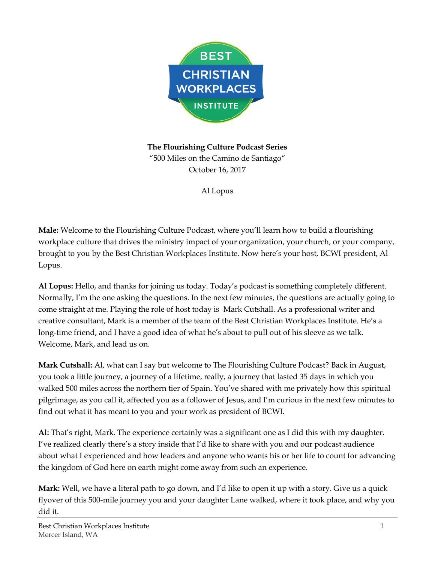

**The Flourishing Culture Podcast Series** "500 Miles on the Camino de Santiago" October 16, 2017

Al Lopus

**Male:** Welcome to the Flourishing Culture Podcast, where you'll learn how to build a flourishing workplace culture that drives the ministry impact of your organization, your church, or your company, brought to you by the Best Christian Workplaces Institute. Now here's your host, BCWI president, Al Lopus.

**Al Lopus:** Hello, and thanks for joining us today. Today's podcast is something completely different. Normally, I'm the one asking the questions. In the next few minutes, the questions are actually going to come straight at me. Playing the role of host today is Mark Cutshall. As a professional writer and creative consultant, Mark is a member of the team of the Best Christian Workplaces Institute. He's a long-time friend, and I have a good idea of what he's about to pull out of his sleeve as we talk. Welcome, Mark, and lead us on.

**Mark Cutshall:** Al, what can I say but welcome to The Flourishing Culture Podcast? Back in August, you took a little journey, a journey of a lifetime, really, a journey that lasted 35 days in which you walked 500 miles across the northern tier of Spain. You've shared with me privately how this spiritual pilgrimage, as you call it, affected you as a follower of Jesus, and I'm curious in the next few minutes to find out what it has meant to you and your work as president of BCWI.

**Al:** That's right, Mark. The experience certainly was a significant one as I did this with my daughter. I've realized clearly there's a story inside that I'd like to share with you and our podcast audience about what I experienced and how leaders and anyone who wants his or her life to count for advancing the kingdom of God here on earth might come away from such an experience.

**Mark:** Well, we have a literal path to go down, and I'd like to open it up with a story. Give us a quick flyover of this 500-mile journey you and your daughter Lane walked, where it took place, and why you did it.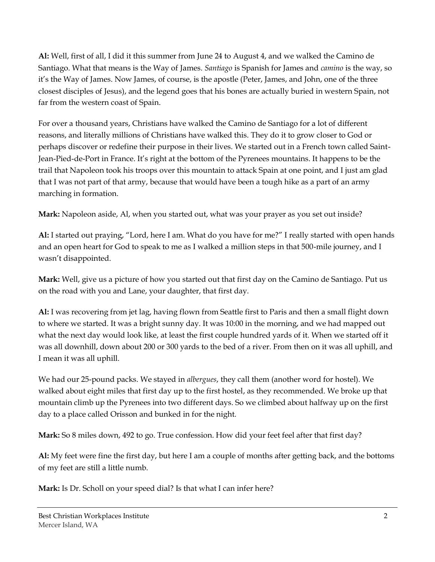**Al:** Well, first of all, I did it this summer from June 24 to August 4, and we walked the Camino de Santiago. What that means is the Way of James. *Santiago* is Spanish for James and *camino* is the way, so it's the Way of James. Now James, of course, is the apostle (Peter, James, and John, one of the three closest disciples of Jesus), and the legend goes that his bones are actually buried in western Spain, not far from the western coast of Spain.

For over a thousand years, Christians have walked the Camino de Santiago for a lot of different reasons, and literally millions of Christians have walked this. They do it to grow closer to God or perhaps discover or redefine their purpose in their lives. We started out in a French town called Saint-Jean-Pied-de-Port in France. It's right at the bottom of the Pyrenees mountains. It happens to be the trail that Napoleon took his troops over this mountain to attack Spain at one point, and I just am glad that I was not part of that army, because that would have been a tough hike as a part of an army marching in formation.

**Mark:** Napoleon aside, Al, when you started out, what was your prayer as you set out inside?

**Al:** I started out praying, "Lord, here I am. What do you have for me?" I really started with open hands and an open heart for God to speak to me as I walked a million steps in that 500-mile journey, and I wasn't disappointed.

**Mark:** Well, give us a picture of how you started out that first day on the Camino de Santiago. Put us on the road with you and Lane, your daughter, that first day.

**Al:** I was recovering from jet lag, having flown from Seattle first to Paris and then a small flight down to where we started. It was a bright sunny day. It was 10:00 in the morning, and we had mapped out what the next day would look like, at least the first couple hundred yards of it. When we started off it was all downhill, down about 200 or 300 yards to the bed of a river. From then on it was all uphill, and I mean it was all uphill.

We had our 25-pound packs. We stayed in *albergues*, they call them (another word for hostel). We walked about eight miles that first day up to the first hostel, as they recommended. We broke up that mountain climb up the Pyrenees into two different days. So we climbed about halfway up on the first day to a place called Orisson and bunked in for the night.

**Mark:** So 8 miles down, 492 to go. True confession. How did your feet feel after that first day?

**Al:** My feet were fine the first day, but here I am a couple of months after getting back, and the bottoms of my feet are still a little numb.

**Mark:** Is Dr. Scholl on your speed dial? Is that what I can infer here?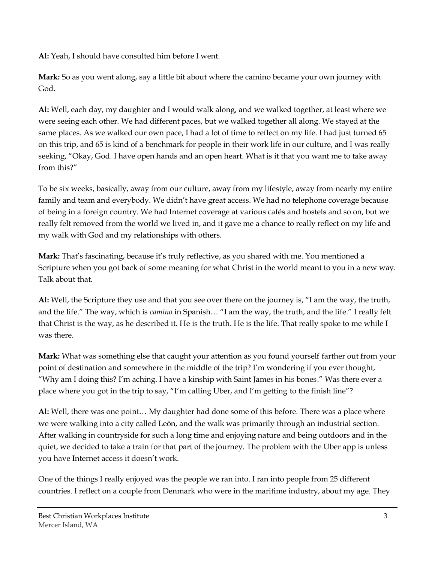**Al:** Yeah, I should have consulted him before I went.

**Mark:** So as you went along, say a little bit about where the camino became your own journey with God.

**Al:** Well, each day, my daughter and I would walk along, and we walked together, at least where we were seeing each other. We had different paces, but we walked together all along. We stayed at the same places. As we walked our own pace, I had a lot of time to reflect on my life. I had just turned 65 on this trip, and 65 is kind of a benchmark for people in their work life in our culture, and I was really seeking, "Okay, God. I have open hands and an open heart. What is it that you want me to take away from this?"

To be six weeks, basically, away from our culture, away from my lifestyle, away from nearly my entire family and team and everybody. We didn't have great access. We had no telephone coverage because of being in a foreign country. We had Internet coverage at various cafés and hostels and so on, but we really felt removed from the world we lived in, and it gave me a chance to really reflect on my life and my walk with God and my relationships with others.

**Mark:** That's fascinating, because it's truly reflective, as you shared with me. You mentioned a Scripture when you got back of some meaning for what Christ in the world meant to you in a new way. Talk about that.

**Al:** Well, the Scripture they use and that you see over there on the journey is, "I am the way, the truth, and the life." The way, which is *camino* in Spanish… "I am the way, the truth, and the life." I really felt that Christ is the way, as he described it. He is the truth. He is the life. That really spoke to me while I was there.

**Mark:** What was something else that caught your attention as you found yourself farther out from your point of destination and somewhere in the middle of the trip? I'm wondering if you ever thought, "Why am I doing this? I'm aching. I have a kinship with Saint James in his bones." Was there ever a place where you got in the trip to say, "I'm calling Uber, and I'm getting to the finish line"?

**Al:** Well, there was one point… My daughter had done some of this before. There was a place where we were walking into a city called León, and the walk was primarily through an industrial section. After walking in countryside for such a long time and enjoying nature and being outdoors and in the quiet, we decided to take a train for that part of the journey. The problem with the Uber app is unless you have Internet access it doesn't work.

One of the things I really enjoyed was the people we ran into. I ran into people from 25 different countries. I reflect on a couple from Denmark who were in the maritime industry, about my age. They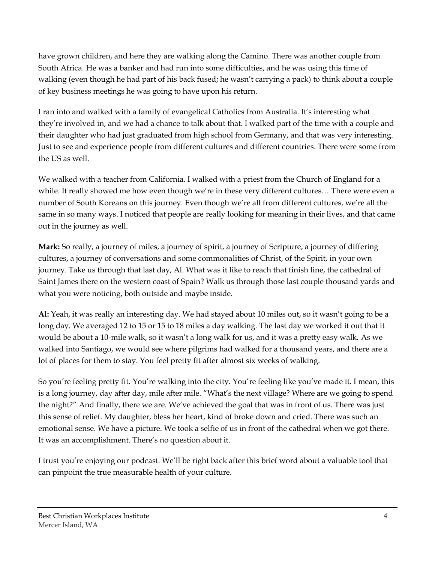have grown children, and here they are walking along the Camino. There was another couple from South Africa. He was a banker and had run into some difficulties, and he was using this time of walking (even though he had part of his back fused; he wasn't carrying a pack) to think about a couple of key business meetings he was going to have upon his return.

I ran into and walked with a family of evangelical Catholics from Australia. It's interesting what they're involved in, and we had a chance to talk about that. I walked part of the time with a couple and their daughter who had just graduated from high school from Germany, and that was very interesting. Just to see and experience people from different cultures and different countries. There were some from the US as well.

We walked with a teacher from California. I walked with a priest from the Church of England for a while. It really showed me how even though we're in these very different cultures… There were even a number of South Koreans on this journey. Even though we're all from different cultures, we're all the same in so many ways. I noticed that people are really looking for meaning in their lives, and that came out in the journey as well.

**Mark:** So really, a journey of miles, a journey of spirit, a journey of Scripture, a journey of differing cultures, a journey of conversations and some commonalities of Christ, of the Spirit, in your own journey. Take us through that last day, Al. What was it like to reach that finish line, the cathedral of Saint James there on the western coast of Spain? Walk us through those last couple thousand yards and what you were noticing, both outside and maybe inside.

**Al:** Yeah, it was really an interesting day. We had stayed about 10 miles out, so it wasn't going to be a long day. We averaged 12 to 15 or 15 to 18 miles a day walking. The last day we worked it out that it would be about a 10-mile walk, so it wasn't a long walk for us, and it was a pretty easy walk. As we walked into Santiago, we would see where pilgrims had walked for a thousand years, and there are a lot of places for them to stay. You feel pretty fit after almost six weeks of walking.

So you're feeling pretty fit. You're walking into the city. You're feeling like you've made it. I mean, this is a long journey, day after day, mile after mile. "What's the next village? Where are we going to spend the night?" And finally, there we are. We've achieved the goal that was in front of us. There was just this sense of relief. My daughter, bless her heart, kind of broke down and cried. There was such an emotional sense. We have a picture. We took a selfie of us in front of the cathedral when we got there. It was an accomplishment. There's no question about it.

I trust you're enjoying our podcast. We'll be right back after this brief word about a valuable tool that can pinpoint the true measurable health of your culture.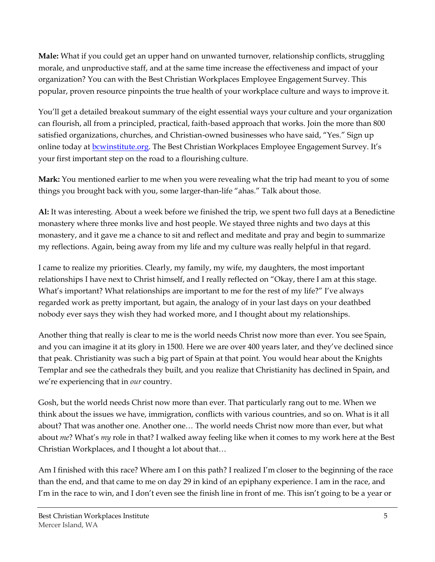**Male:** What if you could get an upper hand on unwanted turnover, relationship conflicts, struggling morale, and unproductive staff, and at the same time increase the effectiveness and impact of your organization? You can with the Best Christian Workplaces Employee Engagement Survey. This popular, proven resource pinpoints the true health of your workplace culture and ways to improve it.

You'll get a detailed breakout summary of the eight essential ways your culture and your organization can flourish, all from a principled, practical, faith-based approach that works. Join the more than 800 satisfied organizations, churches, and Christian-owned businesses who have said, "Yes." Sign up online today at [bcwinstitute.org.](http://www.bcwinstitute.org/) The Best Christian Workplaces Employee Engagement Survey. It's your first important step on the road to a flourishing culture.

**Mark:** You mentioned earlier to me when you were revealing what the trip had meant to you of some things you brought back with you, some larger-than-life "ahas." Talk about those.

**Al:** It was interesting. About a week before we finished the trip, we spent two full days at a Benedictine monastery where three monks live and host people. We stayed three nights and two days at this monastery, and it gave me a chance to sit and reflect and meditate and pray and begin to summarize my reflections. Again, being away from my life and my culture was really helpful in that regard.

I came to realize my priorities. Clearly, my family, my wife, my daughters, the most important relationships I have next to Christ himself, and I really reflected on "Okay, there I am at this stage. What's important? What relationships are important to me for the rest of my life?" I've always regarded work as pretty important, but again, the analogy of in your last days on your deathbed nobody ever says they wish they had worked more, and I thought about my relationships.

Another thing that really is clear to me is the world needs Christ now more than ever. You see Spain, and you can imagine it at its glory in 1500. Here we are over 400 years later, and they've declined since that peak. Christianity was such a big part of Spain at that point. You would hear about the Knights Templar and see the cathedrals they built, and you realize that Christianity has declined in Spain, and we're experiencing that in *our* country.

Gosh, but the world needs Christ now more than ever. That particularly rang out to me. When we think about the issues we have, immigration, conflicts with various countries, and so on. What is it all about? That was another one. Another one… The world needs Christ now more than ever, but what about *me*? What's *my* role in that? I walked away feeling like when it comes to my work here at the Best Christian Workplaces, and I thought a lot about that…

Am I finished with this race? Where am I on this path? I realized I'm closer to the beginning of the race than the end, and that came to me on day 29 in kind of an epiphany experience. I am in the race, and I'm in the race to win, and I don't even see the finish line in front of me. This isn't going to be a year or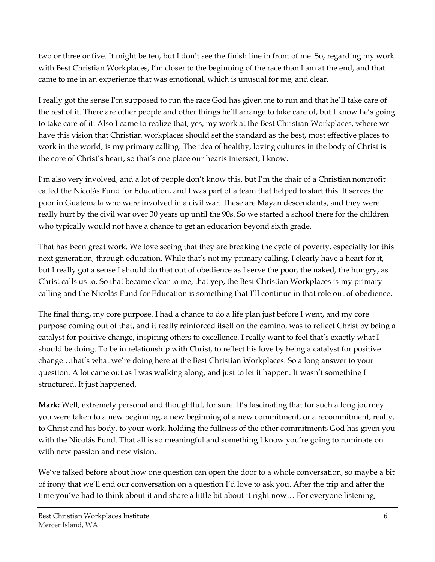two or three or five. It might be ten, but I don't see the finish line in front of me. So, regarding my work with Best Christian Workplaces, I'm closer to the beginning of the race than I am at the end, and that came to me in an experience that was emotional, which is unusual for me, and clear.

I really got the sense I'm supposed to run the race God has given me to run and that he'll take care of the rest of it. There are other people and other things he'll arrange to take care of, but I know he's going to take care of it. Also I came to realize that, yes, my work at the Best Christian Workplaces, where we have this vision that Christian workplaces should set the standard as the best, most effective places to work in the world, is my primary calling. The idea of healthy, loving cultures in the body of Christ is the core of Christ's heart, so that's one place our hearts intersect, I know.

I'm also very involved, and a lot of people don't know this, but I'm the chair of a Christian nonprofit called the Nicolás Fund for Education, and I was part of a team that helped to start this. It serves the poor in Guatemala who were involved in a civil war. These are Mayan descendants, and they were really hurt by the civil war over 30 years up until the 90s. So we started a school there for the children who typically would not have a chance to get an education beyond sixth grade.

That has been great work. We love seeing that they are breaking the cycle of poverty, especially for this next generation, through education. While that's not my primary calling, I clearly have a heart for it, but I really got a sense I should do that out of obedience as I serve the poor, the naked, the hungry, as Christ calls us to. So that became clear to me, that yep, the Best Christian Workplaces is my primary calling and the Nicolás Fund for Education is something that I'll continue in that role out of obedience.

The final thing, my core purpose. I had a chance to do a life plan just before I went, and my core purpose coming out of that, and it really reinforced itself on the camino, was to reflect Christ by being a catalyst for positive change, inspiring others to excellence. I really want to feel that's exactly what I should be doing. To be in relationship with Christ, to reflect his love by being a catalyst for positive change…that's what we're doing here at the Best Christian Workplaces. So a long answer to your question. A lot came out as I was walking along, and just to let it happen. It wasn't something I structured. It just happened.

**Mark:** Well, extremely personal and thoughtful, for sure. It's fascinating that for such a long journey you were taken to a new beginning, a new beginning of a new commitment, or a recommitment, really, to Christ and his body, to your work, holding the fullness of the other commitments God has given you with the Nicolás Fund. That all is so meaningful and something I know you're going to ruminate on with new passion and new vision.

We've talked before about how one question can open the door to a whole conversation, so maybe a bit of irony that we'll end our conversation on a question I'd love to ask you. After the trip and after the time you've had to think about it and share a little bit about it right now… For everyone listening,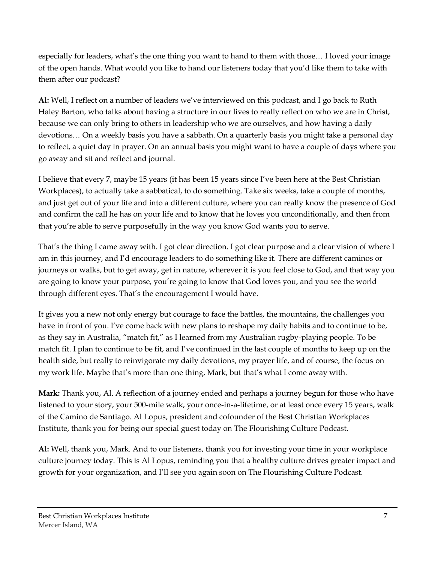especially for leaders, what's the one thing you want to hand to them with those… I loved your image of the open hands. What would you like to hand our listeners today that you'd like them to take with them after our podcast?

**Al:** Well, I reflect on a number of leaders we've interviewed on this podcast, and I go back to Ruth Haley Barton, who talks about having a structure in our lives to really reflect on who we are in Christ, because we can only bring to others in leadership who we are ourselves, and how having a daily devotions… On a weekly basis you have a sabbath. On a quarterly basis you might take a personal day to reflect, a quiet day in prayer. On an annual basis you might want to have a couple of days where you go away and sit and reflect and journal.

I believe that every 7, maybe 15 years (it has been 15 years since I've been here at the Best Christian Workplaces), to actually take a sabbatical, to do something. Take six weeks, take a couple of months, and just get out of your life and into a different culture, where you can really know the presence of God and confirm the call he has on your life and to know that he loves you unconditionally, and then from that you're able to serve purposefully in the way you know God wants you to serve.

That's the thing I came away with. I got clear direction. I got clear purpose and a clear vision of where I am in this journey, and I'd encourage leaders to do something like it. There are different caminos or journeys or walks, but to get away, get in nature, wherever it is you feel close to God, and that way you are going to know your purpose, you're going to know that God loves you, and you see the world through different eyes. That's the encouragement I would have.

It gives you a new not only energy but courage to face the battles, the mountains, the challenges you have in front of you. I've come back with new plans to reshape my daily habits and to continue to be, as they say in Australia, "match fit," as I learned from my Australian rugby-playing people. To be match fit. I plan to continue to be fit, and I've continued in the last couple of months to keep up on the health side, but really to reinvigorate my daily devotions, my prayer life, and of course, the focus on my work life. Maybe that's more than one thing, Mark, but that's what I come away with.

**Mark:** Thank you, Al. A reflection of a journey ended and perhaps a journey begun for those who have listened to your story, your 500-mile walk, your once-in-a-lifetime, or at least once every 15 years, walk of the Camino de Santiago. Al Lopus, president and cofounder of the Best Christian Workplaces Institute, thank you for being our special guest today on The Flourishing Culture Podcast.

**Al:** Well, thank you, Mark. And to our listeners, thank you for investing your time in your workplace culture journey today. This is Al Lopus, reminding you that a healthy culture drives greater impact and growth for your organization, and I'll see you again soon on The Flourishing Culture Podcast.